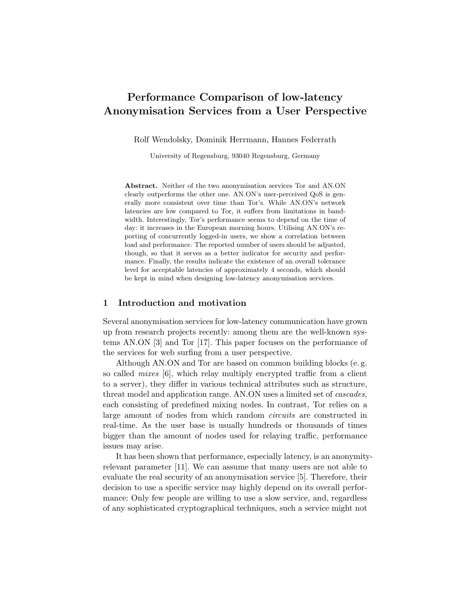# Performance Comparison of low-latency Anonymisation Services from a User Perspective

Rolf Wendolsky, Dominik Herrmann, Hannes Federrath

University of Regensburg, 93040 Regensburg, Germany

Abstract. Neither of the two anonymisation services Tor and AN.ON clearly outperforms the other one. AN.ON's user-perceived QoS is generally more consistent over time than Tor's. While AN.ON's network latencies are low compared to Tor, it suffers from limitations in bandwidth. Interestingly, Tor's performance seems to depend on the time of day: it increases in the European morning hours. Utilising AN.ON's reporting of concurrently logged-in users, we show a correlation between load and performance. The reported number of users should be adjusted, though, so that it serves as a better indicator for security and performance. Finally, the results indicate the existence of an overall tolerance level for acceptable latencies of approximately 4 seconds, which should be kept in mind when designing low-latency anonymisation services.

# 1 Introduction and motivation

Several anonymisation services for low-latency communication have grown up from research projects recently: among them are the well-known systems AN.ON [3] and Tor [17]. This paper focuses on the performance of the services for web surfing from a user perspective.

Although AN.ON and Tor are based on common building blocks (e. g. so called mixes [6], which relay multiply encrypted traffic from a client to a server), they differ in various technical attributes such as structure, threat model and application range. AN.ON uses a limited set of cascades, each consisting of predefined mixing nodes. In contrast, Tor relies on a large amount of nodes from which random circuits are constructed in real-time. As the user base is usually hundreds or thousands of times bigger than the amount of nodes used for relaying traffic, performance issues may arise.

It has been shown that performance, especially latency, is an anonymityrelevant parameter [11]. We can assume that many users are not able to evaluate the real security of an anonymisation service [5]. Therefore, their decision to use a specific service may highly depend on its overall performance: Only few people are willing to use a slow service, and, regardless of any sophisticated cryptographical techniques, such a service might not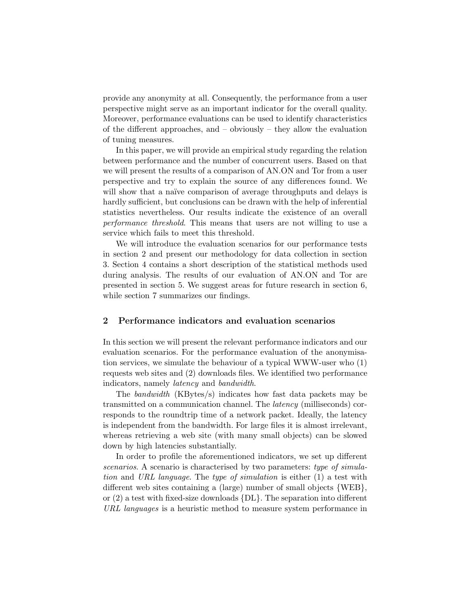provide any anonymity at all. Consequently, the performance from a user perspective might serve as an important indicator for the overall quality. Moreover, performance evaluations can be used to identify characteristics of the different approaches, and – obviously – they allow the evaluation of tuning measures.

In this paper, we will provide an empirical study regarding the relation between performance and the number of concurrent users. Based on that we will present the results of a comparison of AN.ON and Tor from a user perspective and try to explain the source of any differences found. We will show that a naïve comparison of average throughputs and delays is hardly sufficient, but conclusions can be drawn with the help of inferential statistics nevertheless. Our results indicate the existence of an overall performance threshold. This means that users are not willing to use a service which fails to meet this threshold.

We will introduce the evaluation scenarios for our performance tests in section 2 and present our methodology for data collection in section 3. Section 4 contains a short description of the statistical methods used during analysis. The results of our evaluation of AN.ON and Tor are presented in section 5. We suggest areas for future research in section 6, while section 7 summarizes our findings.

# 2 Performance indicators and evaluation scenarios

In this section we will present the relevant performance indicators and our evaluation scenarios. For the performance evaluation of the anonymisation services, we simulate the behaviour of a typical WWW-user who (1) requests web sites and (2) downloads files. We identified two performance indicators, namely latency and bandwidth.

The bandwidth (KBytes/s) indicates how fast data packets may be transmitted on a communication channel. The latency (milliseconds) corresponds to the roundtrip time of a network packet. Ideally, the latency is independent from the bandwidth. For large files it is almost irrelevant, whereas retrieving a web site (with many small objects) can be slowed down by high latencies substantially.

In order to profile the aforementioned indicators, we set up different scenarios. A scenario is characterised by two parameters: type of simulation and URL language. The type of simulation is either (1) a test with different web sites containing a (large) number of small objects {WEB}, or (2) a test with fixed-size downloads {DL}. The separation into different URL languages is a heuristic method to measure system performance in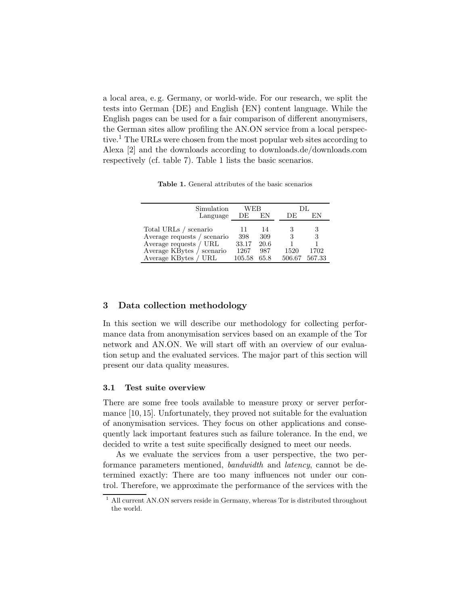a local area, e. g. Germany, or world-wide. For our research, we split the tests into German {DE} and English {EN} content language. While the English pages can be used for a fair comparison of different anonymisers, the German sites allow profiling the AN.ON service from a local perspective. <sup>1</sup> The URLs were chosen from the most popular web sites according to Alexa [2] and the downloads according to downloads.de/downloads.com respectively (cf. table 7). Table 1 lists the basic scenarios.

Table 1. General attributes of the basic scenarios

| Simulation<br>Language      | WEB<br>DE | ΕN   | DL<br>ΕN<br>DE |        |  |
|-----------------------------|-----------|------|----------------|--------|--|
|                             |           |      |                |        |  |
| Total URLs / scenario       | 11        | 14   | 3              | 3      |  |
| Average requests / scenario | 398       | 309  | 3              | 3      |  |
| Average requests / URL      | 33.17     | 20.6 |                |        |  |
| Average KBytes / scenario   | 1267      | 987  | 1520           | 1702   |  |
| Average KBytes<br>/ URL     | 105.58    | 65.8 | 506.67         | 567.33 |  |

# 3 Data collection methodology

In this section we will describe our methodology for collecting performance data from anonymisation services based on an example of the Tor network and AN.ON. We will start off with an overview of our evaluation setup and the evaluated services. The major part of this section will present our data quality measures.

## 3.1 Test suite overview

There are some free tools available to measure proxy or server performance [10, 15]. Unfortunately, they proved not suitable for the evaluation of anonymisation services. They focus on other applications and consequently lack important features such as failure tolerance. In the end, we decided to write a test suite specifically designed to meet our needs.

As we evaluate the services from a user perspective, the two performance parameters mentioned, bandwidth and latency, cannot be determined exactly: There are too many influences not under our control. Therefore, we approximate the performance of the services with the

 $1$  All current AN.ON servers reside in Germany, whereas Tor is distributed throughout the world.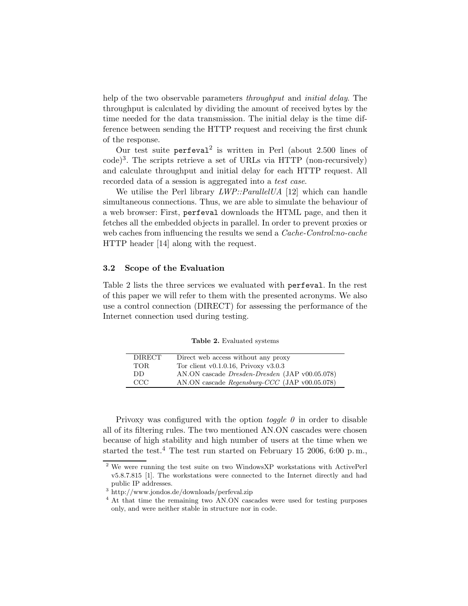help of the two observable parameters *throughput* and *initial delay*. The throughput is calculated by dividing the amount of received bytes by the time needed for the data transmission. The initial delay is the time difference between sending the HTTP request and receiving the first chunk of the response.

Our test suite perfeval<sup>2</sup> is written in Perl (about 2.500 lines of  $\text{code}^3$ . The scripts retrieve a set of URLs via HTTP (non-recursively) and calculate throughput and initial delay for each HTTP request. All recorded data of a session is aggregated into a test case.

We utilise the Perl library  $LWP::ParallelUA$  [12] which can handle simultaneous connections. Thus, we are able to simulate the behaviour of a web browser: First, perfeval downloads the HTML page, and then it fetches all the embedded objects in parallel. In order to prevent proxies or web caches from influencing the results we send a *Cache-Control:no-cache* HTTP header [14] along with the request.

#### 3.2 Scope of the Evaluation

Table 2 lists the three services we evaluated with perfeval. In the rest of this paper we will refer to them with the presented acronyms. We also use a control connection (DIRECT) for assessing the performance of the Internet connection used during testing.

Table 2. Evaluated systems

| <b>DIRECT</b> | Direct web access without any proxy                   |
|---------------|-------------------------------------------------------|
| TOR.          | Tor client $v0.1.0.16$ , Privoxy $v3.0.3$             |
| DD            | AN.ON cascade <i>Dresden-Dresden</i> (JAP v00.05.078) |
| CCC           | AN.ON cascade Regensburg-CCC (JAP v00.05.078)         |

Privoxy was configured with the option toggle  $\theta$  in order to disable all of its filtering rules. The two mentioned AN.ON cascades were chosen because of high stability and high number of users at the time when we started the test. <sup>4</sup> The test run started on February 15 2006, 6:00 p. m.,

<sup>2</sup> We were running the test suite on two WindowsXP workstations with ActivePerl v5.8.7.815 [1]. The workstations were connected to the Internet directly and had

<sup>&</sup>lt;sup>3</sup> http://www.jondos.de/downloads/perfeval.zip<br><sup>4</sup> At that time the remaining two AN.ON cascades were used for testing purposes only, and were neither stable in structure nor in code.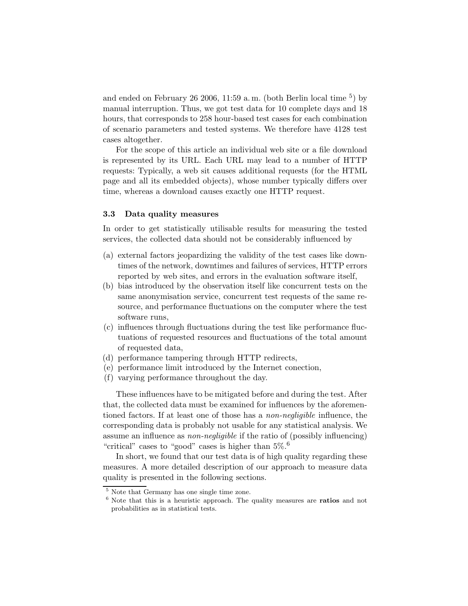and ended on February 26 2006, 11:59 a.m. (both Berlin local time  $5$ ) by manual interruption. Thus, we got test data for 10 complete days and 18 hours, that corresponds to 258 hour-based test cases for each combination of scenario parameters and tested systems. We therefore have 4128 test cases altogether.

For the scope of this article an individual web site or a file download is represented by its URL. Each URL may lead to a number of HTTP requests: Typically, a web sit causes additional requests (for the HTML page and all its embedded objects), whose number typically differs over time, whereas a download causes exactly one HTTP request.

#### 3.3 Data quality measures

In order to get statistically utilisable results for measuring the tested services, the collected data should not be considerably influenced by

- (a) external factors jeopardizing the validity of the test cases like downtimes of the network, downtimes and failures of services, HTTP errors reported by web sites, and errors in the evaluation software itself,
- (b) bias introduced by the observation itself like concurrent tests on the same anonymisation service, concurrent test requests of the same resource, and performance fluctuations on the computer where the test software runs,
- (c) influences through fluctuations during the test like performance fluctuations of requested resources and fluctuations of the total amount of requested data,
- (d) performance tampering through HTTP redirects,
- (e) performance limit introduced by the Internet conection,
- (f) varying performance throughout the day.

These influences have to be mitigated before and during the test. After that, the collected data must be examined for influences by the aforementioned factors. If at least one of those has a non-negligible influence, the corresponding data is probably not usable for any statistical analysis. We assume an influence as non-negligible if the ratio of (possibly influencing) "critical" cases to "good" cases is higher than  $5\%$ .

In short, we found that our test data is of high quality regarding these measures. A more detailed description of our approach to measure data quality is presented in the following sections.

 $5$  Note that Germany has one single time zone.<br> $6$  Note that this is a heuristic approach. The quality measures are **ratios** and not probabilities as in statistical tests.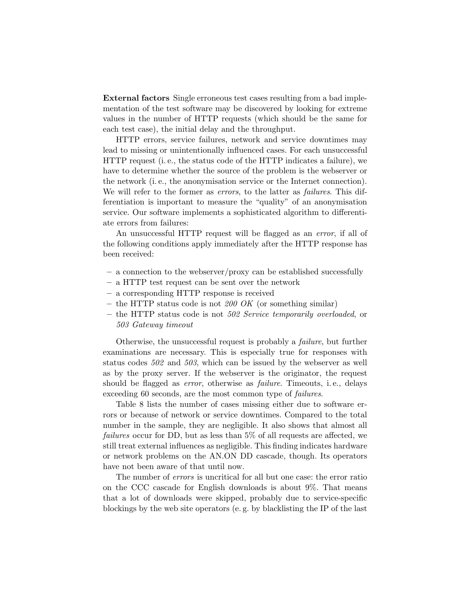External factors Single erroneous test cases resulting from a bad implementation of the test software may be discovered by looking for extreme values in the number of HTTP requests (which should be the same for each test case), the initial delay and the throughput.

HTTP errors, service failures, network and service downtimes may lead to missing or unintentionally influenced cases. For each unsuccessful HTTP request (i. e., the status code of the HTTP indicates a failure), we have to determine whether the source of the problem is the webserver or the network (i. e., the anonymisation service or the Internet connection). We will refer to the former as *errors*, to the latter as *failures*. This differentiation is important to measure the "quality" of an anonymisation service. Our software implements a sophisticated algorithm to differentiate errors from failures:

An unsuccessful HTTP request will be flagged as an *error*, if all of the following conditions apply immediately after the HTTP response has been received:

- a connection to the webserver/proxy can be established successfully
- a HTTP test request can be sent over the network
- a corresponding HTTP response is received
- the HTTP status code is not  $200 \text{ OK}$  (or something similar)
- the HTTP status code is not 502 Service temporarily overloaded, or 503 Gateway timeout

Otherwise, the unsuccessful request is probably a failure, but further examinations are necessary. This is especially true for responses with status codes 502 and 503, which can be issued by the webserver as well as by the proxy server. If the webserver is the originator, the request should be flagged as *error*, otherwise as *failure*. Timeouts, i.e., delays exceeding 60 seconds, are the most common type of *failures*.

Table 8 lists the number of cases missing either due to software errors or because of network or service downtimes. Compared to the total number in the sample, they are negligible. It also shows that almost all failures occur for DD, but as less than 5% of all requests are affected, we still treat external influences as negligible. This finding indicates hardware or network problems on the AN.ON DD cascade, though. Its operators have not been aware of that until now.

The number of *errors* is uncritical for all but one case: the error ratio on the CCC cascade for English downloads is about 9%. That means that a lot of downloads were skipped, probably due to service-specific blockings by the web site operators (e. g. by blacklisting the IP of the last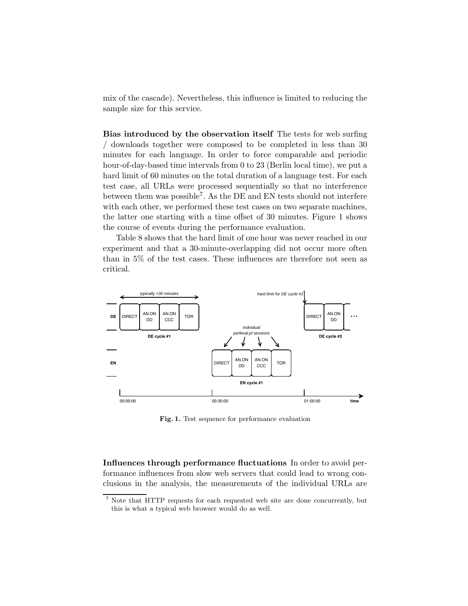mix of the cascade). Nevertheless, this influence is limited to reducing the sample size for this service.

Bias introduced by the observation itself The tests for web surfing / downloads together were composed to be completed in less than 30 minutes for each language. In order to force comparable and periodic hour-of-day-based time intervals from 0 to 23 (Berlin local time), we put a hard limit of 60 minutes on the total duration of a language test. For each test case, all URLs were processed sequentially so that no interference between them was possible<sup>7</sup>. As the DE and EN tests should not interfere with each other, we performed these test cases on two separate machines, the latter one starting with a time offset of 30 minutes. Figure 1 shows the course of events during the performance evaluation.

Table 8 shows that the hard limit of one hour was never reached in our experiment and that a 30-minute-overlapping did not occur more often than in 5% of the test cases. These influences are therefore not seen as critical.



Fig. 1. Test sequence for performance evaluation

Influences through performance fluctuations In order to avoid performance influences from slow web servers that could lead to wrong conclusions in the analysis, the measurements of the individual URLs are

<sup>7</sup> Note that HTTP requests for each requested web site are done concurrently, but this is what a typical web browser would do as well.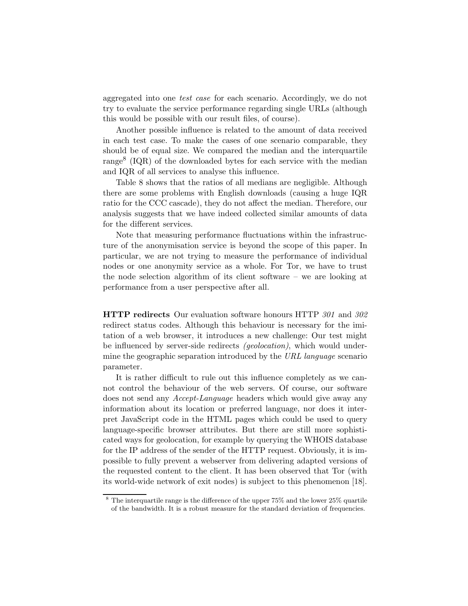aggregated into one test case for each scenario. Accordingly, we do not try to evaluate the service performance regarding single URLs (although this would be possible with our result files, of course).

Another possible influence is related to the amount of data received in each test case. To make the cases of one scenario comparable, they should be of equal size. We compared the median and the interquartile range<sup>8</sup> (IQR) of the downloaded bytes for each service with the median and IQR of all services to analyse this influence.

Table 8 shows that the ratios of all medians are negligible. Although there are some problems with English downloads (causing a huge IQR ratio for the CCC cascade), they do not affect the median. Therefore, our analysis suggests that we have indeed collected similar amounts of data for the different services.

Note that measuring performance fluctuations within the infrastructure of the anonymisation service is beyond the scope of this paper. In particular, we are not trying to measure the performance of individual nodes or one anonymity service as a whole. For Tor, we have to trust the node selection algorithm of its client software – we are looking at performance from a user perspective after all.

HTTP redirects Our evaluation software honours HTTP 301 and 302 redirect status codes. Although this behaviour is necessary for the imitation of a web browser, it introduces a new challenge: Our test might be influenced by server-side redirects *(geolocation)*, which would undermine the geographic separation introduced by the URL language scenario parameter.

It is rather difficult to rule out this influence completely as we cannot control the behaviour of the web servers. Of course, our software does not send any Accept-Language headers which would give away any information about its location or preferred language, nor does it interpret JavaScript code in the HTML pages which could be used to query language-specific browser attributes. But there are still more sophisticated ways for geolocation, for example by querying the WHOIS database for the IP address of the sender of the HTTP request. Obviously, it is impossible to fully prevent a webserver from delivering adapted versions of the requested content to the client. It has been observed that Tor (with its world-wide network of exit nodes) is subject to this phenomenon [18].

 $8$  The interquartile range is the difference of the upper 75% and the lower 25% quartile of the bandwidth. It is a robust measure for the standard deviation of frequencies.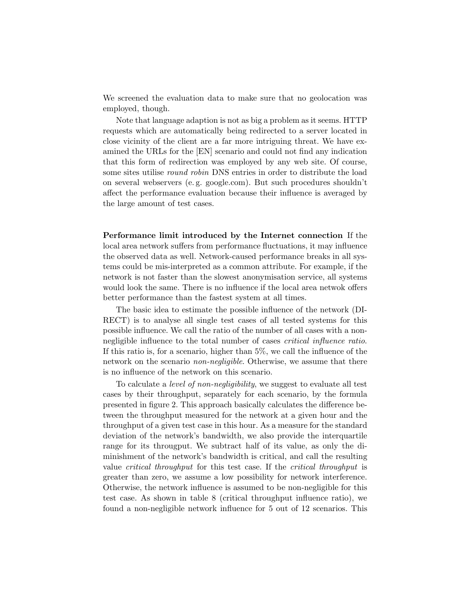We screened the evaluation data to make sure that no geolocation was employed, though.

Note that language adaption is not as big a problem as it seems. HTTP requests which are automatically being redirected to a server located in close vicinity of the client are a far more intriguing threat. We have examined the URLs for the [EN] scenario and could not find any indication that this form of redirection was employed by any web site. Of course, some sites utilise round robin DNS entries in order to distribute the load on several webservers (e. g. google.com). But such procedures shouldn't affect the performance evaluation because their influence is averaged by the large amount of test cases.

Performance limit introduced by the Internet connection If the local area network suffers from performance fluctuations, it may influence the observed data as well. Network-caused performance breaks in all systems could be mis-interpreted as a common attribute. For example, if the network is not faster than the slowest anonymisation service, all systems would look the same. There is no influence if the local area netwok offers better performance than the fastest system at all times.

The basic idea to estimate the possible influence of the network (DI-RECT) is to analyse all single test cases of all tested systems for this possible influence. We call the ratio of the number of all cases with a nonnegligible influence to the total number of cases *critical influence ratio*. If this ratio is, for a scenario, higher than 5%, we call the influence of the network on the scenario non-negligible. Otherwise, we assume that there is no influence of the network on this scenario.

To calculate a level of non-negligibility, we suggest to evaluate all test cases by their throughput, separately for each scenario, by the formula presented in figure 2. This approach basically calculates the difference between the throughput measured for the network at a given hour and the throughput of a given test case in this hour. As a measure for the standard deviation of the network's bandwidth, we also provide the interquartile range for its througput. We subtract half of its value, as only the diminishment of the network's bandwidth is critical, and call the resulting value critical throughput for this test case. If the critical throughput is greater than zero, we assume a low possibility for network interference. Otherwise, the network influence is assumed to be non-negligible for this test case. As shown in table 8 (critical throughput influence ratio), we found a non-negligible network influence for 5 out of 12 scenarios. This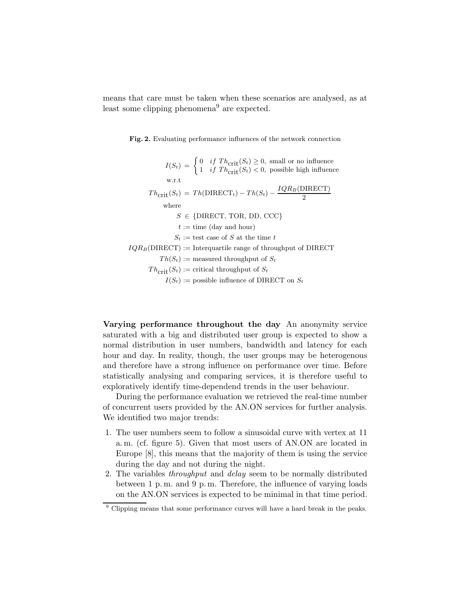means that care must be taken when these scenarios are analysed, as at least some clipping phenomena<sup>9</sup> are expected.

Fig. 2. Evaluating performance influences of the network connection

$$
I(S_t) = \begin{cases} 0 & \text{if } Th_{\text{crit}}(S_t) \ge 0, \text{ small or no influence} \\ 1 & \text{if } Th_{\text{crit}}(S_t) < 0, \text{ possible high influence} \\ \text{w.r.t} \end{cases}
$$
  

$$
Th_{\text{crit}}(S_t) = Th(\text{DIRECT}_t) - Th(S_t) - \frac{IQR_B(\text{DIRECT})}{2}
$$
  
where  

$$
S \in \{\text{DIRECT, TOR, DD, CC}\}
$$
  

$$
t := \text{time (day and hour)}
$$
  

$$
S_t := \text{test case of } S \text{ at the time } t
$$
  

$$
IQR_B(\text{DIRECT}) := \text{Interquartile range of throughput of DIRECT}
$$
  

$$
Th_{\text{crit}}(S_t) := \text{measured throughput of } S_t
$$
  

$$
Th_{\text{crit}}(S_t) := \text{critical throughput of } S_t
$$
  

$$
I(S_t) := \text{possible influence of DIRECT on } S_t
$$

Varying performance throughout the day An anonymity service saturated with a big and distributed user group is expected to show a normal distribution in user numbers, bandwidth and latency for each hour and day. In reality, though, the user groups may be heterogenous and therefore have a strong influence on performance over time. Before statistically analysing and comparing services, it is therefore useful to exploratively identify time-dependend trends in the user behaviour.

During the performance evaluation we retrieved the real-time number of concurrent users provided by the AN.ON services for further analysis. We identified two major trends:

- 1. The user numbers seem to follow a sinusoidal curve with vertex at 11 a. m. (cf. figure 5). Given that most users of AN.ON are located in Europe [8], this means that the majority of them is using the service during the day and not during the night.
- 2. The variables *throughput* and *delay* seem to be normally distributed between 1 p. m. and 9 p. m. Therefore, the influence of varying loads on the AN.ON services is expected to be minimal in that time period.

<sup>&</sup>lt;sup>9</sup> Clipping means that some performance curves will have a hard break in the peaks.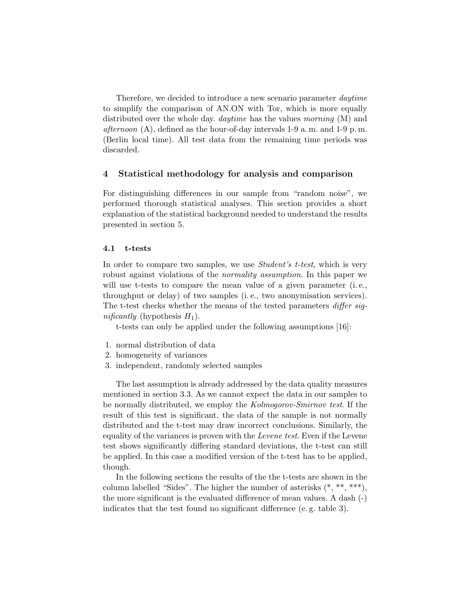Therefore, we decided to introduce a new scenario parameter *daytime* to simplify the comparison of AN.ON with Tor, which is more equally distributed over the whole day. *daytime* has the values morning (M) and afternoon (A), defined as the hour-of-day intervals 1-9 a. m. and 1-9 p. m. (Berlin local time). All test data from the remaining time periods was discarded.

# 4 Statistical methodology for analysis and comparison

For distinguishing differences in our sample from "random noise", we performed thorough statistical analyses. This section provides a short explanation of the statistical background needed to understand the results presented in section 5.

# 4.1 t-tests

In order to compare two samples, we use *Student's t-test*, which is very robust against violations of the *normality assumption*. In this paper we will use t-tests to compare the mean value of a given parameter (i.e., throughput or delay) of two samples (i. e., two anonymisation services). The t-test checks whether the means of the tested parameters *differ sig*nificantly (hypothesis  $H_1$ ).

t-tests can only be applied under the following assumptions [16]:

- 1. normal distribution of data
- 2. homogeneity of variances
- 3. independent, randomly selected samples

The last assumption is already addressed by the data quality measures mentioned in section 3.3. As we cannot expect the data in our samples to be normally distributed, we employ the Kolmogorov-Smirnov test. If the result of this test is significant, the data of the sample is not normally distributed and the t-test may draw incorrect conclusions. Similarly, the equality of the variances is proven with the Levene test. Even if the Levene test shows significantly differing standard deviations, the t-test can still be applied. In this case a modified version of the t-test has to be applied, though.

In the following sections the results of the t-tests are shown in the column labelled "Sides". The higher the number of asterisks  $(*, **, **^*),$ the more significant is the evaluated difference of mean values. A dash (-) indicates that the test found no significant difference (e. g. table 3).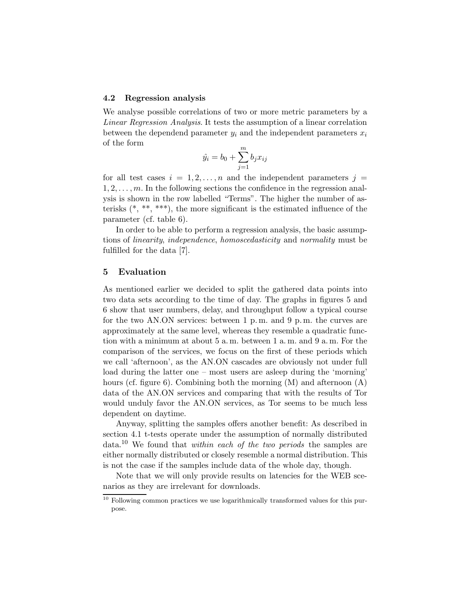#### 4.2 Regression analysis

We analyse possible correlations of two or more metric parameters by a Linear Regression Analysis. It tests the assumption of a linear correlation between the dependend parameter  $y_i$  and the independent parameters  $x_i$ of the form

$$
\hat{y_i} = b_0 + \sum_{j=1}^m b_j x_{ij}
$$

for all test cases  $i = 1, 2, ..., n$  and the independent parameters  $j =$  $1, 2, \ldots, m$ . In the following sections the confidence in the regression analysis is shown in the row labelled "Terms". The higher the number of asterisks  $(*, **, **),$  the more significant is the estimated influence of the parameter (cf. table 6).

In order to be able to perform a regression analysis, the basic assumptions of linearity, independence, homoscedasticity and normality must be fulfilled for the data [7].

## 5 Evaluation

As mentioned earlier we decided to split the gathered data points into two data sets according to the time of day. The graphs in figures 5 and 6 show that user numbers, delay, and throughput follow a typical course for the two AN.ON services: between 1 p. m. and 9 p. m. the curves are approximately at the same level, whereas they resemble a quadratic function with a minimum at about 5 a. m. between 1 a. m. and 9 a. m. For the comparison of the services, we focus on the first of these periods which we call 'afternoon', as the AN.ON cascades are obviously not under full load during the latter one – most users are asleep during the 'morning' hours (cf. figure 6). Combining both the morning (M) and afternoon (A) data of the AN.ON services and comparing that with the results of Tor would unduly favor the AN.ON services, as Tor seems to be much less dependent on daytime.

Anyway, splitting the samples offers another benefit: As described in section 4.1 t-tests operate under the assumption of normally distributed data.<sup>10</sup> We found that *within each of the two periods* the samples are either normally distributed or closely resemble a normal distribution. This is not the case if the samples include data of the whole day, though.

Note that we will only provide results on latencies for the WEB scenarios as they are irrelevant for downloads.

<sup>&</sup>lt;sup>10</sup> Following common practices we use logarithmically transformed values for this purpose.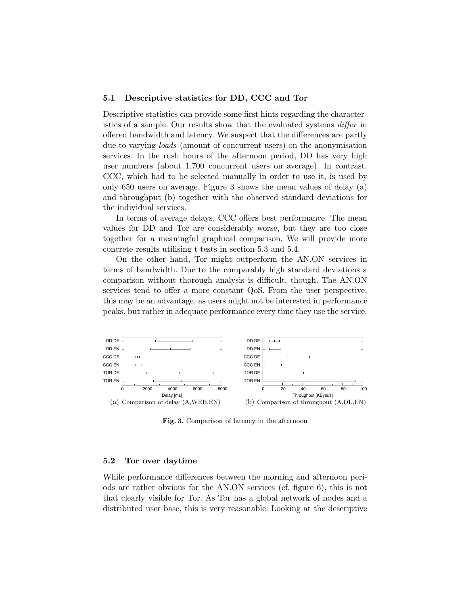#### 5.1 Descriptive statistics for DD, CCC and Tor

Descriptive statistics can provide some first hints regarding the characteristics of a sample. Our results show that the evaluated systems differ in offered bandwidth and latency. We suspect that the differences are partly due to varying loads (amount of concurrent users) on the anonymisation services. In the rush hours of the afternoon period, DD has very high user numbers (about 1,700 concurrent users on average). In contrast, CCC, which had to be selected manually in order to use it, is used by only 650 users on average. Figure 3 shows the mean values of delay (a) and throughput (b) together with the observed standard deviations for the individual services.

In terms of average delays, CCC offers best performance. The mean values for DD and Tor are considerably worse, but they are too close together for a meaningful graphical comparison. We will provide more concrete results utilising t-tests in section 5.3 and 5.4.

On the other hand, Tor might outperform the AN.ON services in terms of bandwidth. Due to the comparably high standard deviations a comparison without thorough analysis is difficult, though. The AN.ON services tend to offer a more constant QoS. From the user perspective, this may be an advantage, as users might not be interested in performance peaks, but rather in adequate performance every time they use the service.



Fig. 3. Comparison of latency in the afternoon

#### 5.2 Tor over daytime

While performance differences between the morning and afternoon periods are rather obvious for the AN.ON services (cf. figure 6), this is not that clearly visible for Tor. As Tor has a global network of nodes and a distributed user base, this is very reasonable. Looking at the descriptive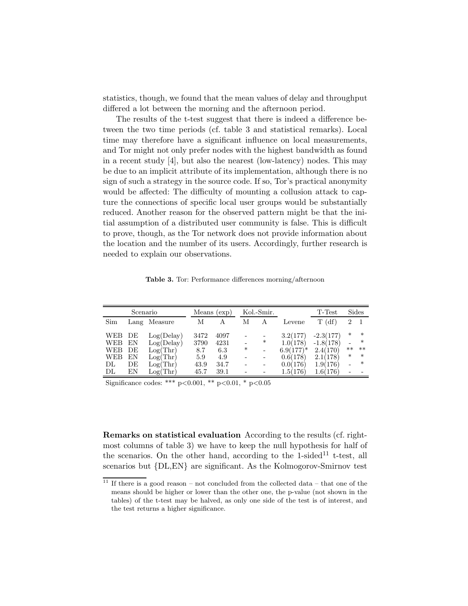statistics, though, we found that the mean values of delay and throughput differed a lot between the morning and the afternoon period.

The results of the t-test suggest that there is indeed a difference between the two time periods (cf. table 3 and statistical remarks). Local time may therefore have a significant influence on local measurements, and Tor might not only prefer nodes with the highest bandwidth as found in a recent study [4], but also the nearest (low-latency) nodes. This may be due to an implicit attribute of its implementation, although there is no sign of such a strategy in the source code. If so, Tor's practical anonymity would be affected: The difficulty of mounting a collusion attack to capture the connections of specific local user groups would be substantially reduced. Another reason for the observed pattern might be that the initial assumption of a distributed user community is false. This is difficult to prove, though, as the Tor network does not provide information about the location and the number of its users. Accordingly, further research is needed to explain our observations.

Table 3. Tor: Performance differences morning/afternoon

|     | Scenario |              |      | Means (exp) |        | Kol.-Smir.               |              | T-Test      |                | Sides  |
|-----|----------|--------------|------|-------------|--------|--------------------------|--------------|-------------|----------------|--------|
| Sim |          | Lang Measure | М    | А           | М      | А                        | Levene       | T(df)       | $\overline{2}$ |        |
| WEB | DE       | Log(Delay)   | 3472 | 4097        |        |                          | 3.2(177)     | $-2.3(177)$ | $\ast$         | $\ast$ |
| WEB | ΕN       | Log(Delay)   | 3790 | 4231        |        | ∗                        | 1.0(178)     | $-1.8(178)$ |                | $\ast$ |
| WEB | DE       | Log(Thr)     | 8.7  | 6.3         | $\ast$ | ÷,                       | $6.9(177)^*$ | 2.4(170)    | $***$          | $***$  |
| WEB | EN       | Log(Thr)     | 5.9  | 4.9         |        | $\overline{\phantom{a}}$ | 0.6(178)     | 2.1(178)    | $\ast$         | $\ast$ |
| DL  | DE       | Log(Thr)     | 43.9 | 34.7        |        |                          | 0.0(176)     | 1.9(176)    |                | $\ast$ |
| DL  | ΕN       | Log(Thr)     | 45.7 | 39.1        |        | ۰                        | 1.5(176)     | 1.6(176)    |                |        |

Significance codes: \*\*\*  $p<0.001$ , \*\*  $p<0.01$ , \*  $p<0.05$ 

Remarks on statistical evaluation According to the results (cf. rightmost columns of table 3) we have to keep the null hypothesis for half of the scenarios. On the other hand, according to the 1-sided<sup>11</sup> t-test, all scenarios but {DL,EN} are significant. As the Kolmogorov-Smirnov test

 $^{\rm 11}$  If there is a good reason – not concluded from the collected data – that one of the means should be higher or lower than the other one, the p-value (not shown in the tables) of the t-test may be halved, as only one side of the test is of interest, and the test returns a higher significance.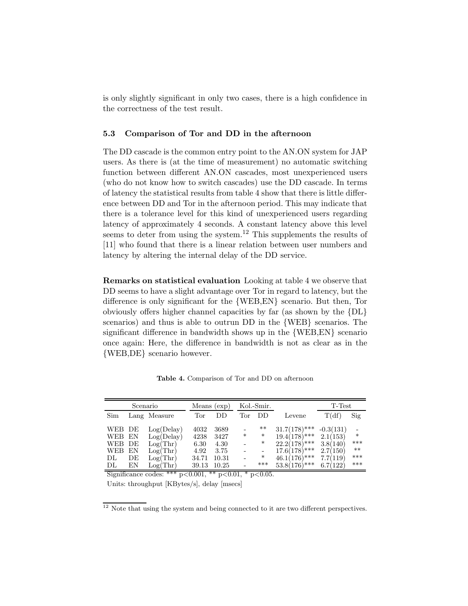is only slightly significant in only two cases, there is a high confidence in the correctness of the test result.

# 5.3 Comparison of Tor and DD in the afternoon

The DD cascade is the common entry point to the AN.ON system for JAP users. As there is (at the time of measurement) no automatic switching function between different AN.ON cascades, most unexperienced users (who do not know how to switch cascades) use the DD cascade. In terms of latency the statistical results from table 4 show that there is little difference between DD and Tor in the afternoon period. This may indicate that there is a tolerance level for this kind of unexperienced users regarding latency of approximately 4 seconds. A constant latency above this level seems to deter from using the system. <sup>12</sup> This supplements the results of [11] who found that there is a linear relation between user numbers and latency by altering the internal delay of the DD service.

Remarks on statistical evaluation Looking at table 4 we observe that DD seems to have a slight advantage over Tor in regard to latency, but the difference is only significant for the {WEB,EN} scenario. But then, Tor obviously offers higher channel capacities by far (as shown by the {DL} scenarios) and thus is able to outrun DD in the {WEB} scenarios. The significant difference in bandwidth shows up in the {WEB,EN} scenario once again: Here, the difference in bandwidth is not as clear as in the {WEB,DE} scenario however.

Table 4. Comparison of Tor and DD on afternoon

| Scenario         |    | Means (exp)              |              | Kol.-Smir.   |                      |                 | T-Test                             |                         |        |
|------------------|----|--------------------------|--------------|--------------|----------------------|-----------------|------------------------------------|-------------------------|--------|
| Sim              |    | Lang Measure             | Tor          | DD           | $\operatorname{Tor}$ | DD              | Levene                             | T(df)                   | Sig    |
| WEB DE<br>WEB EN |    | Log(Delay)<br>Log(Delay) | 4032<br>4238 | 3689<br>3427 | $\ast$               | $***$<br>$\ast$ | $31.7(178)$ ***<br>$19.4(178)$ *** | $-0.3(131)$<br>2.1(153) | $\ast$ |
| WEB              | DE | Log(Thr)                 | 6.30         | 4.30         |                      | $\ast$          | $22.2(178)$ ***                    | 3.8(140)                | ***    |
| WEB              | EN | Log(Thr)                 | 4.92         | 3.75         |                      |                 | $17.6(178)$ ***                    | 2.7(150)                | $**$   |
| DL               | DE | Log(Thr)                 | 34.71        | 10.31        |                      | $\ast$          | $46.1(176)$ ***                    | 7.7(119)                | $***$  |
| DL               | EN | Log(Thr)                 | 39.13        | 10.25        |                      | ***             | $53.8(176)$ ***                    | 6.7(122)                | ***    |

Significance codes: \*\*\*  $p < 0.001$ , \*\*  $p < 0.01$ , \*  $p < 0.05$ .

Units: throughput [KBytes/s], delay [msecs]

 $^{\rm 12}$  Note that using the system and being connected to it are two different perspectives.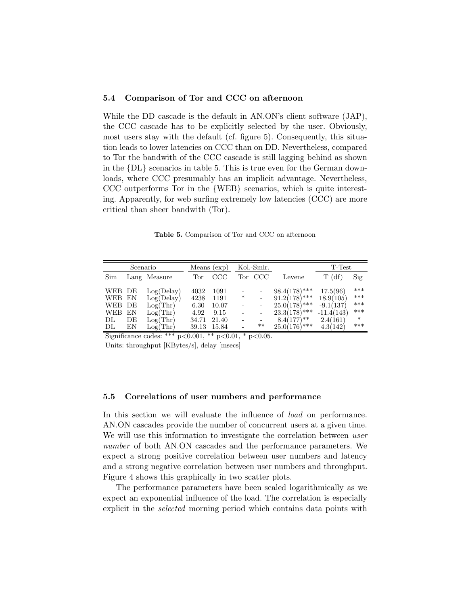#### 5.4 Comparison of Tor and CCC on afternoon

While the DD cascade is the default in AN.ON's client software (JAP), the CCC cascade has to be explicitly selected by the user. Obviously, most users stay with the default (cf. figure 5). Consequently, this situation leads to lower latencies on CCC than on DD. Nevertheless, compared to Tor the bandwith of the CCC cascade is still lagging behind as shown in the {DL} scenarios in table 5. This is true even for the German downloads, where CCC presumably has an implicit advantage. Nevertheless, CCC outperforms Tor in the {WEB} scenarios, which is quite interesting. Apparently, for web surfing extremely low latencies (CCC) are more critical than sheer bandwith (Tor).

Table 5. Comparison of Tor and CCC on afternoon

| Scenario                                            |                | Means (exp)                                                              |                                                | Kol.-Smir.                                      |        |         | T-Test                                                                                                                  |                                                                              |                                             |
|-----------------------------------------------------|----------------|--------------------------------------------------------------------------|------------------------------------------------|-------------------------------------------------|--------|---------|-------------------------------------------------------------------------------------------------------------------------|------------------------------------------------------------------------------|---------------------------------------------|
| Sim                                                 |                | Lang Measure                                                             | Tor                                            | CCC                                             |        | Tor CCC | Levene                                                                                                                  | (df`                                                                         | Sig                                         |
| WEB DE<br>WEB EN<br>WEB DE<br>WEB<br>DL<br>$\rm DL$ | ΕN<br>DЕ<br>ΕN | Log(Delay)<br>Log(Delay)<br>Log(Thr)<br>Log(Thr)<br>Log(Thr)<br>Log(Thr) | 4032<br>4238<br>6.30<br>4.92<br>34.71<br>39.13 | 1091<br>1191<br>10.07<br>9.15<br>21.40<br>15.84 | $\ast$ | $***$   | $98.4(178)$ ***<br>$91.2(178)$ ***<br>$25.0(178)$ ***<br>$23.3(178)$ ***<br>$8.4(177)$ <sup>**</sup><br>$25.0(176)$ *** | 17.5(96)<br>18.9(105)<br>$-9.1(137)$<br>$-11.4(143)$<br>2.4(161)<br>4.3(142) | ***<br>***<br>$***$<br>***<br>$\ast$<br>*** |

Significance codes: \*\*\*  $p<0.001$ , \*\*  $p<0.01$ , \*  $p<0.05$ .

Units: throughput [KBytes/s], delay [msecs]

#### 5.5 Correlations of user numbers and performance

In this section we will evaluate the influence of *load* on performance. AN.ON cascades provide the number of concurrent users at a given time. We will use this information to investigate the correlation between *user* number of both AN.ON cascades and the performance parameters. We expect a strong positive correlation between user numbers and latency and a strong negative correlation between user numbers and throughput. Figure 4 shows this graphically in two scatter plots.

The performance parameters have been scaled logarithmically as we expect an exponential influence of the load. The correlation is especially explicit in the selected morning period which contains data points with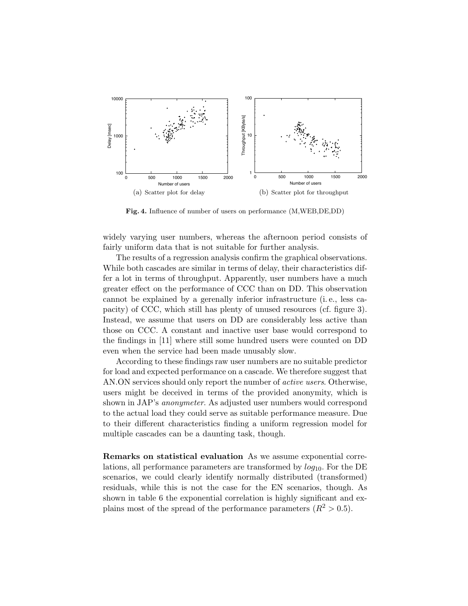

Fig. 4. Influence of number of users on performance (M,WEB,DE,DD)

widely varying user numbers, whereas the afternoon period consists of fairly uniform data that is not suitable for further analysis.

The results of a regression analysis confirm the graphical observations. While both cascades are similar in terms of delay, their characteristics differ a lot in terms of throughput. Apparently, user numbers have a much greater effect on the performance of CCC than on DD. This observation cannot be explained by a gerenally inferior infrastructure (i. e., less capacity) of CCC, which still has plenty of unused resources (cf. figure 3). Instead, we assume that users on DD are considerably less active than those on CCC. A constant and inactive user base would correspond to the findings in [11] where still some hundred users were counted on DD even when the service had been made unusably slow.

According to these findings raw user numbers are no suitable predictor for load and expected performance on a cascade. We therefore suggest that AN.ON services should only report the number of active users. Otherwise, users might be deceived in terms of the provided anonymity, which is shown in JAP's *anonymeter*. As adjusted user numbers would correspond to the actual load they could serve as suitable performance measure. Due to their different characteristics finding a uniform regression model for multiple cascades can be a daunting task, though.

Remarks on statistical evaluation As we assume exponential correlations, all performance parameters are transformed by  $log_{10}$ . For the DE scenarios, we could clearly identify normally distributed (transformed) residuals, while this is not the case for the EN scenarios, though. As shown in table 6 the exponential correlation is highly significant and explains most of the spread of the performance parameters  $(R^2 > 0.5)$ .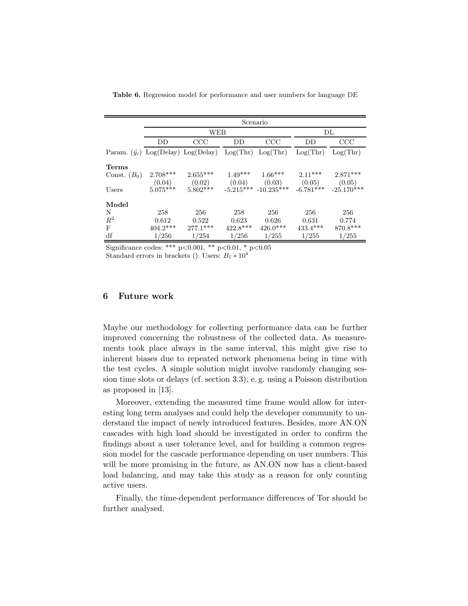|                | Scenario   |                                                                       |            |                                                   |            |            |  |  |  |  |
|----------------|------------|-----------------------------------------------------------------------|------------|---------------------------------------------------|------------|------------|--|--|--|--|
|                |            | WEB                                                                   |            |                                                   |            | $\rm DL$   |  |  |  |  |
|                | DD         | CCC                                                                   | DD         | CCC                                               | DD.        | CCC        |  |  |  |  |
|                |            | Param. $(\hat{y}_i)$ Log(Delay) Log(Delay) Log(Thr) Log(Thr) Log(Thr) |            |                                                   |            | Log(Thr)   |  |  |  |  |
| <b>Terms</b>   |            |                                                                       |            |                                                   |            |            |  |  |  |  |
| Const. $(B_0)$ | $2.708***$ | $2.655***$                                                            | $1.49***$  | $1.66***$                                         | $2.11***$  | $2.871***$ |  |  |  |  |
|                | (0.04)     | (0.02)                                                                | (0.04)     | (0.03)                                            | (0.05)     | (0.05)     |  |  |  |  |
| Users          | $5.075***$ | $5.802***$                                                            |            | $-5.215***$ $-10.235***$ $-6.781***$ $-25.170***$ |            |            |  |  |  |  |
| Model          |            |                                                                       |            |                                                   |            |            |  |  |  |  |
| N              | 258        | 256                                                                   | 258        | 256                                               | 256        | 256        |  |  |  |  |
| $R^2$          | 0.612      | 0.522                                                                 | 0.623      | 0.626                                             | 0.631      | 0.774      |  |  |  |  |
| $_{\rm F}$     | $404.2***$ | $277.1***$                                                            | $422.8***$ | $426.0***$                                        | $433.4***$ | $870.8***$ |  |  |  |  |
| df             | 1/256      | 1/254                                                                 | 1/256      | 1/255                                             | 1/255      | 1/255      |  |  |  |  |

Table 6. Regression model for performance and user numbers for language DE

Significance codes: \*\*\* p<0.001, \*\* p<0.01, \* p<0.05 Standard errors in brackets (). Users:  $B_1 * 10^4$ 

# 6 Future work

Maybe our methodology for collecting performance data can be further improved concerning the robustness of the collected data. As measurements took place always in the same interval, this might give rise to inherent biases due to repeated network phenomena being in time with the test cycles. A simple solution might involve randomly changing session time slots or delays (cf. section 3.3), e. g. using a Poisson distribution as proposed in [13].

Moreover, extending the measured time frame would allow for interesting long term analyses and could help the developer community to understand the impact of newly introduced features. Besides, more AN.ON cascades with high load should be investigated in order to confirm the findings about a user tolerance level, and for building a common regression model for the cascade performance depending on user numbers. This will be more promising in the future, as AN.ON now has a client-based load balancing, and may take this study as a reason for only counting active users.

Finally, the time-dependent performance differences of Tor should be further analysed.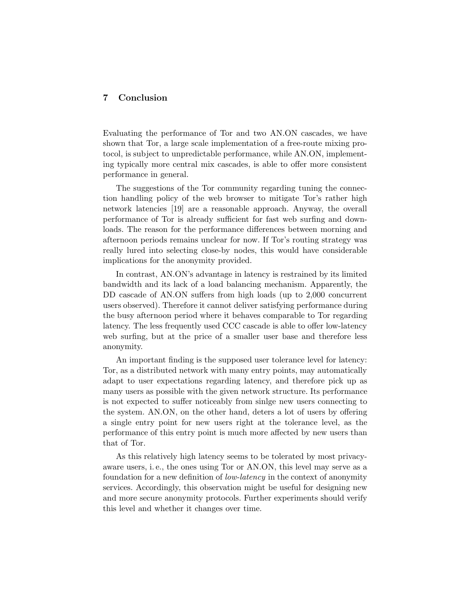# 7 Conclusion

Evaluating the performance of Tor and two AN.ON cascades, we have shown that Tor, a large scale implementation of a free-route mixing protocol, is subject to unpredictable performance, while AN.ON, implementing typically more central mix cascades, is able to offer more consistent performance in general.

The suggestions of the Tor community regarding tuning the connection handling policy of the web browser to mitigate Tor's rather high network latencies [19] are a reasonable approach. Anyway, the overall performance of Tor is already sufficient for fast web surfing and downloads. The reason for the performance differences between morning and afternoon periods remains unclear for now. If Tor's routing strategy was really lured into selecting close-by nodes, this would have considerable implications for the anonymity provided.

In contrast, AN.ON's advantage in latency is restrained by its limited bandwidth and its lack of a load balancing mechanism. Apparently, the DD cascade of AN.ON suffers from high loads (up to 2,000 concurrent users observed). Therefore it cannot deliver satisfying performance during the busy afternoon period where it behaves comparable to Tor regarding latency. The less frequently used CCC cascade is able to offer low-latency web surfing, but at the price of a smaller user base and therefore less anonymity.

An important finding is the supposed user tolerance level for latency: Tor, as a distributed network with many entry points, may automatically adapt to user expectations regarding latency, and therefore pick up as many users as possible with the given network structure. Its performance is not expected to suffer noticeably from sinlge new users connecting to the system. AN.ON, on the other hand, deters a lot of users by offering a single entry point for new users right at the tolerance level, as the performance of this entry point is much more affected by new users than that of Tor.

As this relatively high latency seems to be tolerated by most privacyaware users, i. e., the ones using Tor or AN.ON, this level may serve as a foundation for a new definition of low-latency in the context of anonymity services. Accordingly, this observation might be useful for designing new and more secure anonymity protocols. Further experiments should verify this level and whether it changes over time.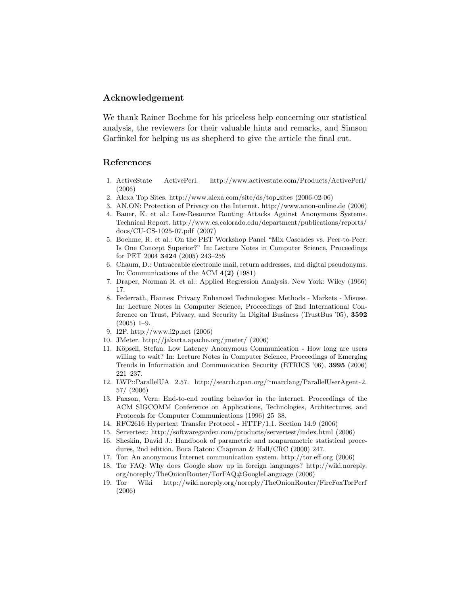# Acknowledgement

We thank Rainer Boehme for his priceless help concerning our statistical analysis, the reviewers for their valuable hints and remarks, and Simson Garfinkel for helping us as shepherd to give the article the final cut.

# References

- 1. ActiveState ActivePerl. http://www.activestate.com/Products/ActivePerl/ (2006)
- 2. Alexa Top Sites. http://www.alexa.com/site/ds/top sites (2006-02-06)
- 3. AN.ON: Protection of Privacy on the Internet. http://www.anon-online.de (2006)
- 4. Bauer, K. et al.: Low-Resource Routing Attacks Against Anonymous Systems. Technical Report. http://www.cs.colorado.edu/department/publications/reports/ docs/CU-CS-1025-07.pdf (2007)
- 5. Boehme, R. et al.: On the PET Workshop Panel "Mix Cascades vs. Peer-to-Peer: Is One Concept Superior?" In: Lecture Notes in Computer Science, Proceedings for PET 2004 3424 (2005) 243–255
- 6. Chaum, D.: Untraceable electronic mail, return addresses, and digital pseudonyms. In: Communications of the ACM 4(2) (1981)
- 7. Draper, Norman R. et al.: Applied Regression Analysis. New York: Wiley (1966) 17.
- 8. Federrath, Hannes: Privacy Enhanced Technologies: Methods Markets Misuse. In: Lecture Notes in Computer Science, Proceedings of 2nd International Conference on Trust, Privacy, and Security in Digital Business (TrustBus '05), 3592 (2005) 1–9.
- 9. I2P. http://www.i2p.net (2006)
- 10. JMeter. http://jakarta.apache.org/jmeter/ (2006)
- 11. Köpsell, Stefan: Low Latency Anonymous Communication How long are users willing to wait? In: Lecture Notes in Computer Science, Proceedings of Emerging Trends in Information and Communication Security (ETRICS '06), 3995 (2006) 221–237.
- 12. LWP::ParallelUA 2.57. http://search.cpan.org/<sup>∼</sup>marclang/ParallelUserAgent-2. 57/ (2006)
- 13. Paxson, Vern: End-to-end routing behavior in the internet. Proceedings of the ACM SIGCOMM Conference on Applications, Technologies, Architectures, and Protocols for Computer Communications (1996) 25–38.
- 14. RFC2616 Hypertext Transfer Protocol HTTP/1.1. Section 14.9 (2006)
- 15. Servertest: http://softwaregarden.com/products/servertest/index.html (2006)
- 16. Sheskin, David J.: Handbook of parametric and nonparametric statistical procedures, 2nd edition. Boca Raton: Chapman & Hall/CRC (2000) 247.
- 17. Tor: An anonymous Internet communication system. http://tor.eff.org (2006)
- 18. Tor FAQ: Why does Google show up in foreign languages? http://wiki.noreply. org/noreply/TheOnionRouter/TorFAQ#GoogleLanguage (2006)
- 19. Tor Wiki http://wiki.noreply.org/noreply/TheOnionRouter/FireFoxTorPerf (2006)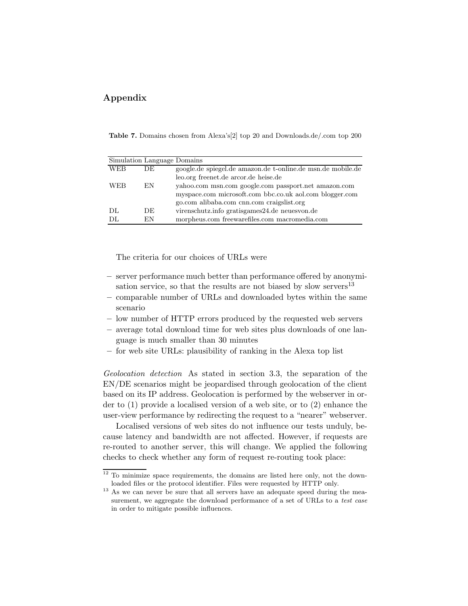# Appendix

Table 7. Domains chosen from Alexa's[2] top 20 and Downloads.de/.com top 200

|            |    | Simulation Language Domains                                 |
|------------|----|-------------------------------------------------------------|
| <b>WEB</b> | DE | google.de spiegel.de amazon.de t-online.de msn.de mobile.de |
|            |    | leo.org freenet.de arcor.de heise.de                        |
| WEB        | EN | vahoo.com msn.com google.com passport.net amazon.com        |
|            |    | myspace.com microsoft.com bbc.co.uk aol.com blogger.com     |
|            |    | go.com alibaba.com cnn.com craigslist.org                   |
| DL.        | DE | virenschutz.info gratisgames24.de neuesvon.de               |
| DL.        | ΕN | morpheus.com freewarefiles.com macromedia.com               |

The criteria for our choices of URLs were

- server performance much better than performance offered by anonymisation service, so that the results are not biased by slow servers $^{13}$
- comparable number of URLs and downloaded bytes within the same scenario
- low number of HTTP errors produced by the requested web servers
- average total download time for web sites plus downloads of one language is much smaller than 30 minutes
- for web site URLs: plausibility of ranking in the Alexa top list

Geolocation detection As stated in section 3.3, the separation of the EN/DE scenarios might be jeopardised through geolocation of the client based on its IP address. Geolocation is performed by the webserver in order to (1) provide a localised version of a web site, or to (2) enhance the user-view performance by redirecting the request to a "nearer" webserver.

Localised versions of web sites do not influence our tests unduly, because latency and bandwidth are not affected. However, if requests are re-routed to another server, this will change. We applied the following checks to check whether any form of request re-routing took place:

 $^{12}$  To minimize space requirements, the domains are listed here only, not the down-loaded files or the protocol identifier. Files were requested by HTTP only.

 $13$  As we can never be sure that all servers have an adequate speed during the measurement, we aggregate the download performance of a set of URLs to a test case in order to mitigate possible influences.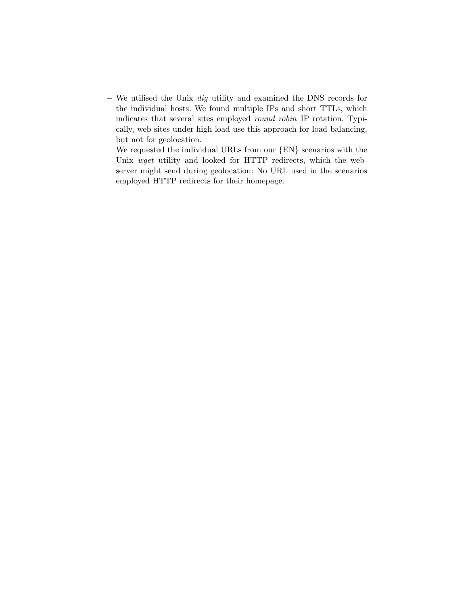- We utilised the Unix dig utility and examined the DNS records for the individual hosts. We found multiple IPs and short TTLs, which indicates that several sites employed round robin IP rotation. Typically, web sites under high load use this approach for load balancing, but not for geolocation.
- We requested the individual URLs from our {EN} scenarios with the Unix wget utility and looked for HTTP redirects, which the webserver might send during geolocation: No URL used in the scenarios employed HTTP redirects for their homepage.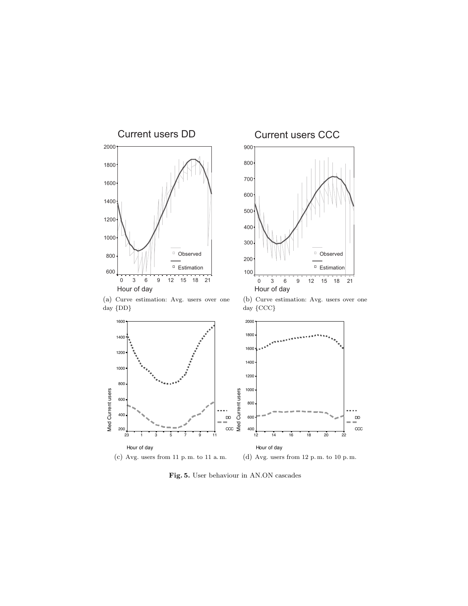

Med Current users Med Current users 400 DD 600 DD 200 CCC 400  $\csc$ 23 1 3 5 7 9 11 12 14 16 18 20 22 Hour of day Hour of day

(c) Avg. users from 11 p. m. to 11 a. m. (d) Avg. users from 12 p. m. to 10 p. m.

Fig. 5. User behaviour in AN.ON cascades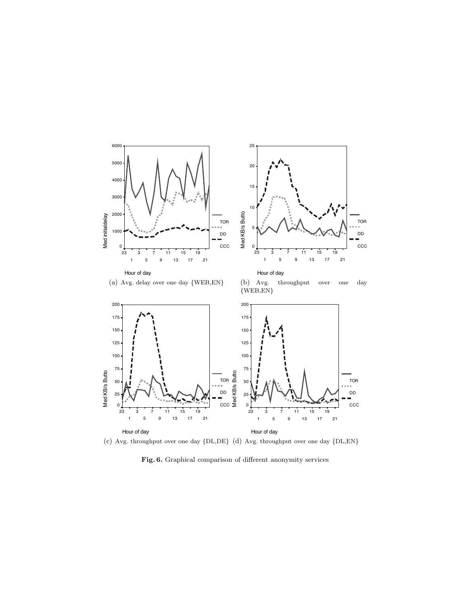

Fig. 6. Graphical comparison of different anonymity services